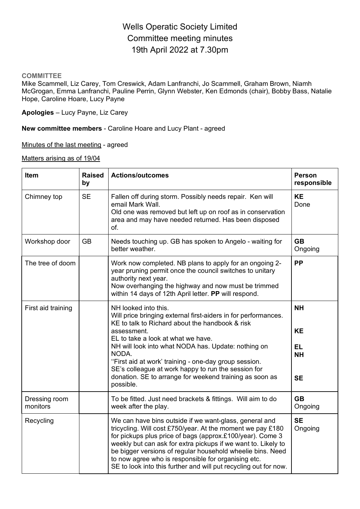# Wells Operatic Society Limited Committee meeting minutes 19th April 2022 at 7.30pm

#### **COMMITTEE**

Mike Scammell, Liz Carey, Tom Creswick, Adam Lanfranchi, Jo Scammell, Graham Brown, Niamh McGrogan, Emma Lanfranchi, Pauline Perrin, Glynn Webster, Ken Edmonds (chair), Bobby Bass, Natalie Hope, Caroline Hoare, Lucy Payne

**Apologies** – Lucy Payne, Liz Carey

**New committee members** - Caroline Hoare and Lucy Plant - agreed

Minutes of the last meeting - agreed

Matters arising as of 19/04

| Item                      | <b>Raised</b><br>by | <b>Actions/outcomes</b>                                                                                                                                                                                                                                                                                                                                                                                                                                | Person<br>responsible                                         |
|---------------------------|---------------------|--------------------------------------------------------------------------------------------------------------------------------------------------------------------------------------------------------------------------------------------------------------------------------------------------------------------------------------------------------------------------------------------------------------------------------------------------------|---------------------------------------------------------------|
| Chimney top               | <b>SE</b>           | Fallen off during storm. Possibly needs repair. Ken will<br>email Mark Wall.<br>Old one was removed but left up on roof as in conservation<br>area and may have needed returned. Has been disposed<br>of.                                                                                                                                                                                                                                              | <b>KE</b><br>Done                                             |
| Workshop door             | <b>GB</b>           | Needs touching up. GB has spoken to Angelo - waiting for<br>better weather.                                                                                                                                                                                                                                                                                                                                                                            | <b>GB</b><br>Ongoing                                          |
| The tree of doom          |                     | Work now completed. NB plans to apply for an ongoing 2-<br>year pruning permit once the council switches to unitary<br>authority next year.<br>Now overhanging the highway and now must be trimmed<br>within 14 days of 12th April letter. PP will respond.                                                                                                                                                                                            | PP                                                            |
| First aid training        |                     | NH looked into this.<br>Will price bringing external first-aiders in for performances.<br>KE to talk to Richard about the handbook & risk<br>assessment.<br>EL to take a look at what we have.<br>NH will look into what NODA has. Update: nothing on<br>NODA.<br>"First aid at work' training - one-day group session.<br>SE's colleague at work happy to run the session for<br>donation. SE to arrange for weekend training as soon as<br>possible. | <b>NH</b><br><b>KE</b><br><b>EL</b><br><b>NH</b><br><b>SE</b> |
| Dressing room<br>monitors |                     | To be fitted. Just need brackets & fittings. Will aim to do<br>week after the play.                                                                                                                                                                                                                                                                                                                                                                    | <b>GB</b><br>Ongoing                                          |
| Recycling                 |                     | We can have bins outside if we want-glass, general and<br>tricycling. Will cost £750/year. At the moment we pay £180<br>for pickups plus price of bags (approx.£100/year). Come 3<br>weekly but can ask for extra pickups if we want to. Likely to<br>be bigger versions of regular household wheelie bins. Need<br>to now agree who is responsible for organising etc.<br>SE to look into this further and will put recycling out for now.            | <b>SE</b><br>Ongoing                                          |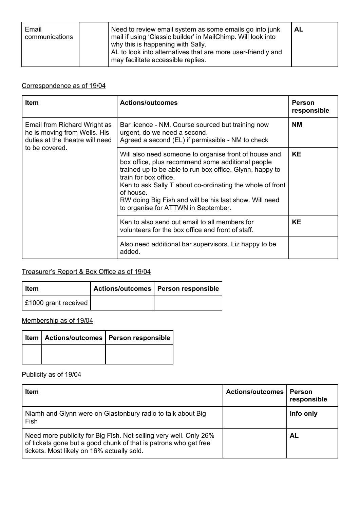| Email<br>communications | Need to review email system as some emails go into junk<br>mail if using 'Classic builder' in MailChimp. Will look into<br>why this is happening with Sally.<br>AL to look into alternatives that are more user-friendly and<br>may facilitate accessible replies. | AL |
|-------------------------|--------------------------------------------------------------------------------------------------------------------------------------------------------------------------------------------------------------------------------------------------------------------|----|
|                         |                                                                                                                                                                                                                                                                    |    |

## Correspondence as of 19/04

| Item                                                                                            | <b>Actions/outcomes</b>                                                                                                                                                                                                                                                                                                                                                    | <b>Person</b><br>responsible |
|-------------------------------------------------------------------------------------------------|----------------------------------------------------------------------------------------------------------------------------------------------------------------------------------------------------------------------------------------------------------------------------------------------------------------------------------------------------------------------------|------------------------------|
| Email from Richard Wright as<br>he is moving from Wells. His<br>duties at the theatre will need | Bar licence - NM. Course sourced but training now<br>urgent, do we need a second.<br>Agreed a second (EL) if permissible - NM to check                                                                                                                                                                                                                                     | NM.                          |
| to be covered.                                                                                  | Will also need someone to organise front of house and<br>box office, plus recommend some additional people<br>trained up to be able to run box office. Glynn, happy to<br>train for box office.<br>Ken to ask Sally T about co-ordinating the whole of front<br>of house.<br>RW doing Big Fish and will be his last show. Will need<br>to organise for ATTWN in September. | <b>KE</b>                    |
|                                                                                                 | Ken to also send out email to all members for<br>volunteers for the box office and front of staff.                                                                                                                                                                                                                                                                         | <b>KE</b>                    |
|                                                                                                 | Also need additional bar supervisors. Liz happy to be<br>added.                                                                                                                                                                                                                                                                                                            |                              |

# Treasurer's Report & Box Office as of 19/04

| <b>Item</b>                 | Actions/outcomes   Person responsible |
|-----------------------------|---------------------------------------|
| <b>£1000 grant received</b> |                                       |

Membership as of 19/04

|  | Item   Actions/outcomes   Person responsible |
|--|----------------------------------------------|
|  |                                              |

## Publicity as of 19/04

| <b>Item</b>                                                                                                                                                                         | Actions/outcomes   Person | responsible |
|-------------------------------------------------------------------------------------------------------------------------------------------------------------------------------------|---------------------------|-------------|
| Niamh and Glynn were on Glastonbury radio to talk about Big<br>Fish                                                                                                                 |                           | Info only   |
| Need more publicity for Big Fish. Not selling very well. Only 26%<br>of tickets gone but a good chunk of that is patrons who get free<br>tickets. Most likely on 16% actually sold. |                           | AL          |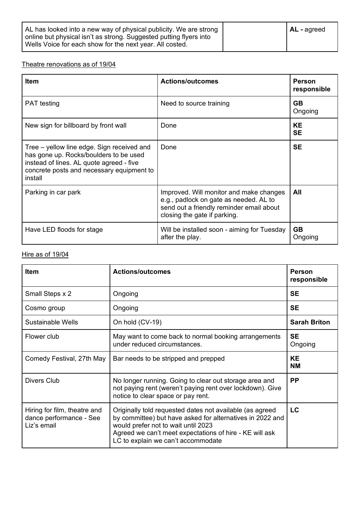| AL has looked into a new way of physical publicity. We are strong                                                              | <b>AL</b> - agreed |
|--------------------------------------------------------------------------------------------------------------------------------|--------------------|
| online but physical isn't as strong. Suggested putting flyers into<br>Wells Voice for each show for the next year. All costed. |                    |

# Theatre renovations as of 19/04

| <b>Item</b>                                                                                                                                                                              | <b>Actions/outcomes</b>                                                                                                                                       | Person<br>responsible  |
|------------------------------------------------------------------------------------------------------------------------------------------------------------------------------------------|---------------------------------------------------------------------------------------------------------------------------------------------------------------|------------------------|
| <b>PAT</b> testing                                                                                                                                                                       | Need to source training                                                                                                                                       | <b>GB</b><br>Ongoing   |
| New sign for billboard by front wall                                                                                                                                                     | Done                                                                                                                                                          | <b>KE</b><br><b>SE</b> |
| Tree – yellow line edge. Sign received and<br>has gone up. Rocks/boulders to be used<br>instead of lines. AL quote agreed - five<br>concrete posts and necessary equipment to<br>install | Done                                                                                                                                                          | <b>SE</b>              |
| Parking in car park                                                                                                                                                                      | Improved. Will monitor and make changes<br>e.g., padlock on gate as needed. AL to<br>send out a friendly reminder email about<br>closing the gate if parking. | All                    |
| Have LED floods for stage                                                                                                                                                                | Will be installed soon - aiming for Tuesday<br>after the play.                                                                                                | <b>GB</b><br>Ongoing   |

#### Hire as of 19/04

| Item                                                                   | <b>Actions/outcomes</b>                                                                                                                                                                                                                                       | Person<br>responsible  |
|------------------------------------------------------------------------|---------------------------------------------------------------------------------------------------------------------------------------------------------------------------------------------------------------------------------------------------------------|------------------------|
| Small Steps x 2                                                        | Ongoing                                                                                                                                                                                                                                                       | <b>SE</b>              |
| Cosmo group                                                            | Ongoing                                                                                                                                                                                                                                                       | <b>SE</b>              |
| <b>Sustainable Wells</b>                                               | On hold (CV-19)                                                                                                                                                                                                                                               | <b>Sarah Briton</b>    |
| Flower club                                                            | May want to come back to normal booking arrangements<br>under reduced circumstances.                                                                                                                                                                          | <b>SE</b><br>Ongoing   |
| Comedy Festival, 27th May                                              | Bar needs to be stripped and prepped                                                                                                                                                                                                                          | <b>KE</b><br><b>NM</b> |
| <b>Divers Club</b>                                                     | No longer running. Going to clear out storage area and<br>not paying rent (weren't paying rent over lockdown). Give<br>notice to clear space or pay rent.                                                                                                     | <b>PP</b>              |
| Hiring for film, theatre and<br>dance performance - See<br>Liz's email | Originally told requested dates not available (as agreed<br>by committee) but have asked for alternatives in 2022 and<br>would prefer not to wait until 2023<br>Agreed we can't meet expectations of hire - KE will ask<br>LC to explain we can't accommodate | LC                     |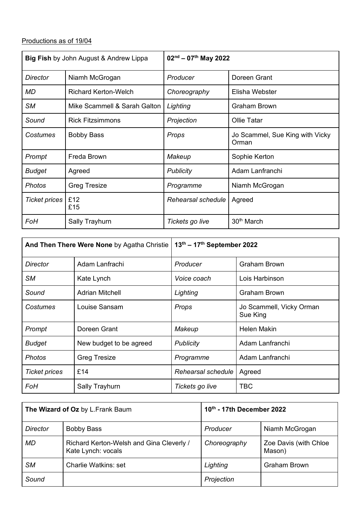#### Productions as of 19/04

| <b>Big Fish by John August &amp; Andrew Lippa</b> |                              | $02nd - 07th$ May 2022 |                                          |
|---------------------------------------------------|------------------------------|------------------------|------------------------------------------|
| <b>Director</b>                                   | Niamh McGrogan               | Producer               | Doreen Grant                             |
| MD                                                | <b>Richard Kerton-Welch</b>  | Choreography           | Elisha Webster                           |
| <b>SM</b>                                         | Mike Scammell & Sarah Galton | Lighting               | Graham Brown                             |
| Sound                                             | <b>Rick Fitzsimmons</b>      | Projection             | Ollie Tatar                              |
| Costumes                                          | <b>Bobby Bass</b>            | Props                  | Jo Scammel, Sue King with Vicky<br>Orman |
| Prompt                                            | Freda Brown                  | Makeup                 | Sophie Kerton                            |
| <b>Budget</b>                                     | Agreed                       | <b>Publicity</b>       | Adam Lanfranchi                          |
| <b>Photos</b>                                     | <b>Greg Tresize</b>          | Programme              | Niamh McGrogan                           |
| <b>Ticket prices</b>                              | £12<br>£15                   | Rehearsal schedule     | Agreed                                   |
| FoH                                               | Sally Trayhurn               | Tickets go live        | 30 <sup>th</sup> March                   |

| And Then There Were None by Agatha Christie |                         | 13th - 17th September 2022 |                                      |  |
|---------------------------------------------|-------------------------|----------------------------|--------------------------------------|--|
| <b>Director</b>                             | Adam Lanfrachi          | Producer                   | <b>Graham Brown</b>                  |  |
| <b>SM</b>                                   | Kate Lynch              | Voice coach                | Lois Harbinson                       |  |
| Sound                                       | <b>Adrian Mitchell</b>  | Lighting                   | <b>Graham Brown</b>                  |  |
| Costumes                                    | Louise Sansam           | Props                      | Jo Scammell, Vicky Orman<br>Sue King |  |
| Prompt                                      | Doreen Grant            | Makeup                     | <b>Helen Makin</b>                   |  |
| <b>Budget</b>                               | New budget to be agreed | <b>Publicity</b>           | Adam Lanfranchi                      |  |
| <b>Photos</b>                               | <b>Greg Tresize</b>     | Programme                  | Adam Lanfranchi                      |  |
| <b>Ticket prices</b>                        | £14                     | Rehearsal schedule         | Agreed                               |  |
| FoH                                         | Sally Trayhurn          | Tickets go live            | <b>TBC</b>                           |  |

| The Wizard of Oz by L.Frank Baum |                                                                | 10th - 17th December 2022 |                                 |
|----------------------------------|----------------------------------------------------------------|---------------------------|---------------------------------|
| Director                         | <b>Bobby Bass</b>                                              | Producer                  | Niamh McGrogan                  |
| <b>MD</b>                        | Richard Kerton-Welsh and Gina Cleverly /<br>Kate Lynch: vocals | Choreography              | Zoe Davis (with Chloe<br>Mason) |
| <b>SM</b>                        | <b>Charlie Watkins: set</b>                                    | Lighting                  | <b>Graham Brown</b>             |
| Sound                            |                                                                | Projection                |                                 |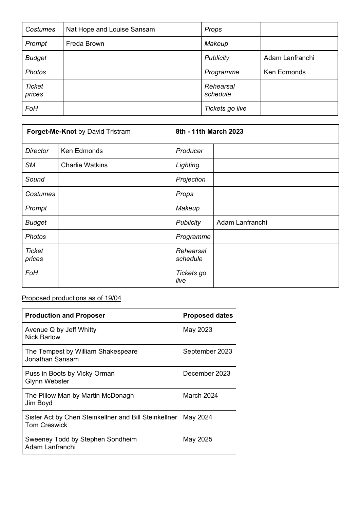| Costumes                | Nat Hope and Louise Sansam | Props                 |                 |
|-------------------------|----------------------------|-----------------------|-----------------|
| Prompt                  | Freda Brown                | Makeup                |                 |
| <b>Budget</b>           |                            | <b>Publicity</b>      | Adam Lanfranchi |
| <b>Photos</b>           |                            | Programme             | Ken Edmonds     |
| <b>Ticket</b><br>prices |                            | Rehearsal<br>schedule |                 |
| FoH                     |                            | Tickets go live       |                 |

| Forget-Me-Knot by David Tristram |                        | 8th - 11th March 2023 |                 |
|----------------------------------|------------------------|-----------------------|-----------------|
| <b>Director</b>                  | Ken Edmonds            | Producer              |                 |
| <b>SM</b>                        | <b>Charlie Watkins</b> | Lighting              |                 |
| Sound                            |                        | Projection            |                 |
| Costumes                         |                        | Props                 |                 |
| Prompt                           |                        | Makeup                |                 |
| <b>Budget</b>                    |                        | <b>Publicity</b>      | Adam Lanfranchi |
| <b>Photos</b>                    |                        | Programme             |                 |
| <b>Ticket</b><br>prices          |                        | Rehearsal<br>schedule |                 |
| FoH                              |                        | Tickets go<br>live    |                 |

Proposed productions as of 19/04

| <b>Production and Proposer</b>                                                | <b>Proposed dates</b> |
|-------------------------------------------------------------------------------|-----------------------|
| Avenue Q by Jeff Whitty<br><b>Nick Barlow</b>                                 | May 2023              |
| The Tempest by William Shakespeare<br>Jonathan Sansam                         | September 2023        |
| Puss in Boots by Vicky Orman<br><b>Glynn Webster</b>                          | December 2023         |
| The Pillow Man by Martin McDonagh<br>Jim Boyd                                 | March 2024            |
| Sister Act by Cheri Steinkellner and Bill Steinkellner<br><b>Tom Creswick</b> | May 2024              |
| Sweeney Todd by Stephen Sondheim<br>Adam Lanfranchi                           | May 2025              |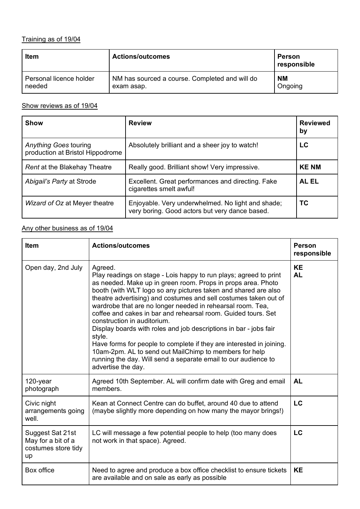# Training as of 19/04

| <b>Item</b>             | <b>Actions/outcomes</b>                        | Person<br>responsible |
|-------------------------|------------------------------------------------|-----------------------|
| Personal licence holder | NM has sourced a course. Completed and will do | <b>NM</b>             |
| needed                  | exam asap.                                     | Ongoing               |

## Show reviews as of 19/04

| <b>Show</b>                                               | <b>Review</b>                                                                                       | <b>Reviewed</b><br>by |
|-----------------------------------------------------------|-----------------------------------------------------------------------------------------------------|-----------------------|
| Anything Goes touring<br>production at Bristol Hippodrome | Absolutely brilliant and a sheer joy to watch!                                                      | LC                    |
| <b>Rent at the Blakehay Theatre</b>                       | Really good. Brilliant show! Very impressive.                                                       | <b>KE NM</b>          |
| Abigail's Party at Strode                                 | Excellent. Great performances and directing. Fake<br>cigarettes smelt awful!                        | AL EL                 |
| Wizard of Oz at Meyer theatre                             | Enjoyable. Very underwhelmed. No light and shade;<br>very boring. Good actors but very dance based. | ТC                    |

#### Any other business as of 19/04

| Item                                                                | <b>Actions/outcomes</b>                                                                                                                                                                                                                                                                                                                                                                                                                                                                                                                                                                                                                                                                                                                                   | <b>Person</b><br>responsible |
|---------------------------------------------------------------------|-----------------------------------------------------------------------------------------------------------------------------------------------------------------------------------------------------------------------------------------------------------------------------------------------------------------------------------------------------------------------------------------------------------------------------------------------------------------------------------------------------------------------------------------------------------------------------------------------------------------------------------------------------------------------------------------------------------------------------------------------------------|------------------------------|
| Open day, 2nd July                                                  | Agreed.<br>Play readings on stage - Lois happy to run plays; agreed to print<br>as needed. Make up in green room. Props in props area. Photo<br>booth (with WLT logo so any pictures taken and shared are also<br>theatre advertising) and costumes and sell costumes taken out of<br>wardrobe that are no longer needed in rehearsal room. Tea,<br>coffee and cakes in bar and rehearsal room. Guided tours, Set<br>construction in auditorium.<br>Display boards with roles and job descriptions in bar - jobs fair<br>style.<br>Have forms for people to complete if they are interested in joining.<br>10am-2pm. AL to send out MailChimp to members for help<br>running the day. Will send a separate email to our audience to<br>advertise the day. | <b>KE</b><br><b>AL</b>       |
| 120-year<br>photograph                                              | Agreed 10th September. AL will confirm date with Greg and email<br>members.                                                                                                                                                                                                                                                                                                                                                                                                                                                                                                                                                                                                                                                                               | <b>AL</b>                    |
| Civic night<br>arrangements going<br>well.                          | Kean at Connect Centre can do buffet, around 40 due to attend<br>(maybe slightly more depending on how many the mayor brings!)                                                                                                                                                                                                                                                                                                                                                                                                                                                                                                                                                                                                                            | LC                           |
| Suggest Sat 21st<br>May for a bit of a<br>costumes store tidy<br>up | LC will message a few potential people to help (too many does<br>not work in that space). Agreed.                                                                                                                                                                                                                                                                                                                                                                                                                                                                                                                                                                                                                                                         | LC                           |
| Box office                                                          | Need to agree and produce a box office checklist to ensure tickets<br>are available and on sale as early as possible                                                                                                                                                                                                                                                                                                                                                                                                                                                                                                                                                                                                                                      | <b>KE</b>                    |